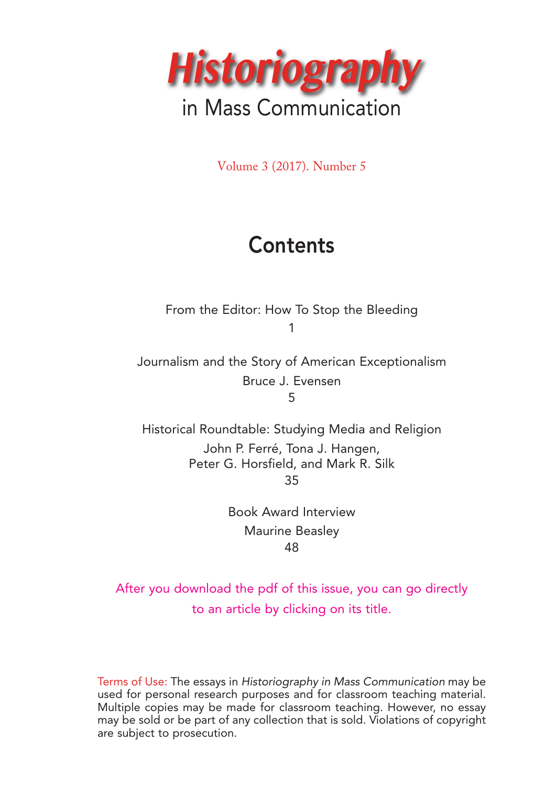

Volume 3 (2017). Number 5

# **Contents**

From the Editor: How To Stop the Bleeding 1

Journalism and the Story of American Exceptionalism Bruce J. Evensen 5

Historical Roundtable: Studying Media and Religion John P. Ferré, Tona J. Hangen, Peter G. Horsfield, and Mark R. Silk 35

> Book Award Interview Maurine Beasley 48

After you download the pdf of this issue, you can go directly to an article by clicking on its title.

Terms of Use: The essays in Historiography in Mass Communication may be used for personal research purposes and for classroom teaching material. Multiple copies may be made for classroom teaching. However, no essay may be sold or be part of any collection that is sold. Violations of copyright are subject to prosecution.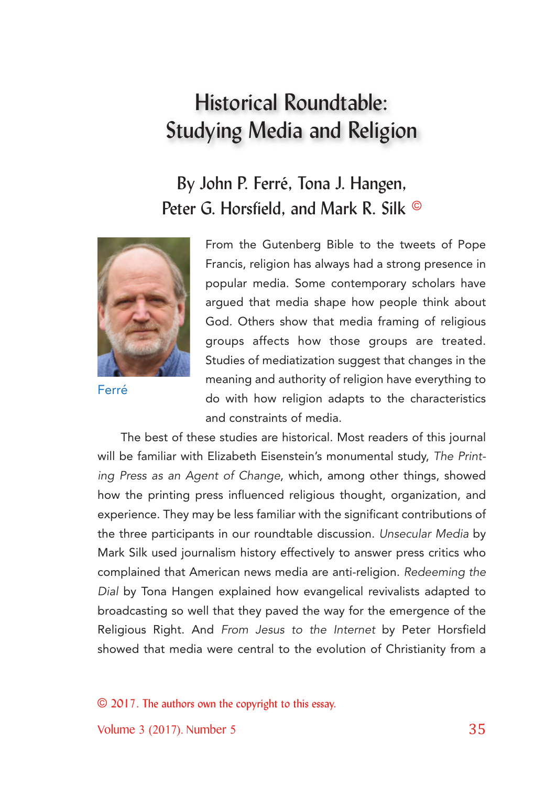## By John P. Ferré, Tona J. Hangen, Peter G. Horsfield, and Mark R. Silk ©



Ferré

From the Gutenberg Bible to the tweets of Pope Francis, religion has always had a strong presence in popular media. Some contemporary scholars have argued that media shape how people think about God. Others show that media framing of religious groups affects how those groups are treated. Studies of mediatization suggest that changes in the meaning and authority of religion have everything to do with how religion adapts to the characteristics and constraints of media.

The best of these studies are historical. Most readers of this journal will be familiar with Elizabeth Eisenstein's monumental study, The Printing Press as an Agent of Change, which, among other things, showed how the printing press influenced religious thought, organization, and experience. They may be less familiar with the significant contributions of the three participants in our roundtable discussion. Unsecular Media by Mark Silk used journalism history effectively to answer press critics who complained that American news media are anti-religion. Redeeming the Dial by Tona Hangen explained how evangelical revivalists adapted to broadcasting so well that they paved the way for the emergence of the Religious Right. And From Jesus to the Internet by Peter Horsfield showed that media were central to the evolution of Christianity from a

© 2017. The authors own the copyright to this essay.

Volume 3 (2017). Number 5 35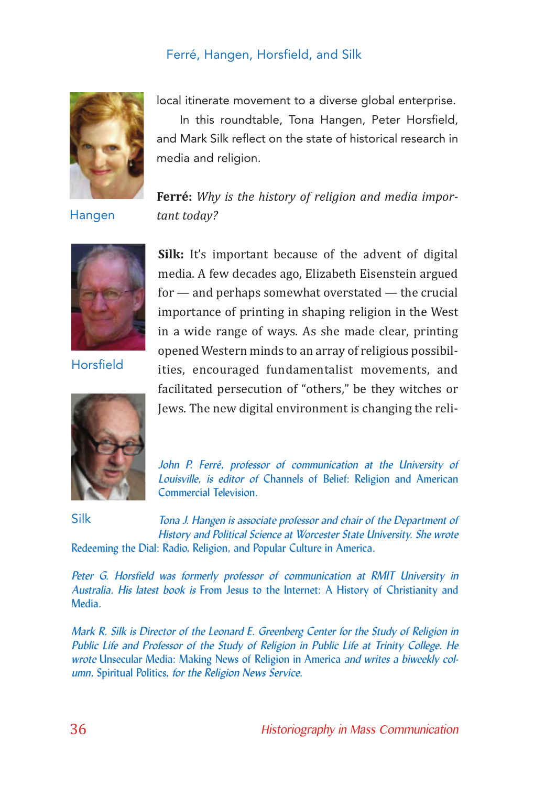

local itinerate movement to a diverse global enterprise.

In this roundtable, Tona Hangen, Peter Horsfield, and Mark Silk reflect on the state of historical research in media and religion.

**Ferré:** *Why is the history of religion and media impor-*

Hangen

*tant today?*



Horsfield



**Silk:** It's important because of the advent of digital media. A few decades ago, Elizabeth Eisenstein argued for — and perhaps somewhat overstated — the crucial importance of printing in shaping religion in the West in a wide range of ways. As she made clear, printing opened Western minds to an array of religious possibil‐ ities, encouraged fundamentalist movements, and facilitated persecution of "others," be they witches or Jews. The new digital environment is changing the reli‐

John P. Ferré, professor of communication at the University of Louisville, is editor of Channels of Belief: Religion and American Commercial Television.

Silk

Tona J. Hangen is associate professor and chair of the Department of History and Political Science at Worcester State University. She wrote Redeeming the Dial: Radio, Religion, and Popular Culture in America.

Peter G. Horsfield was formerly professor of communication at RMIT University in Australia. His latest book is From Jesus to the Internet: A History of Christianity and Media.

Mark R. Silk is Director of the Leonard E. Greenberg Center for the Study of Religion in Public Life and Professor of the Study of Religion in Public Life at Trinity College. He wrote Unsecular Media: Making News of Religion in America and writes a biweekly column, Spiritual Politics, for the Religion News Service.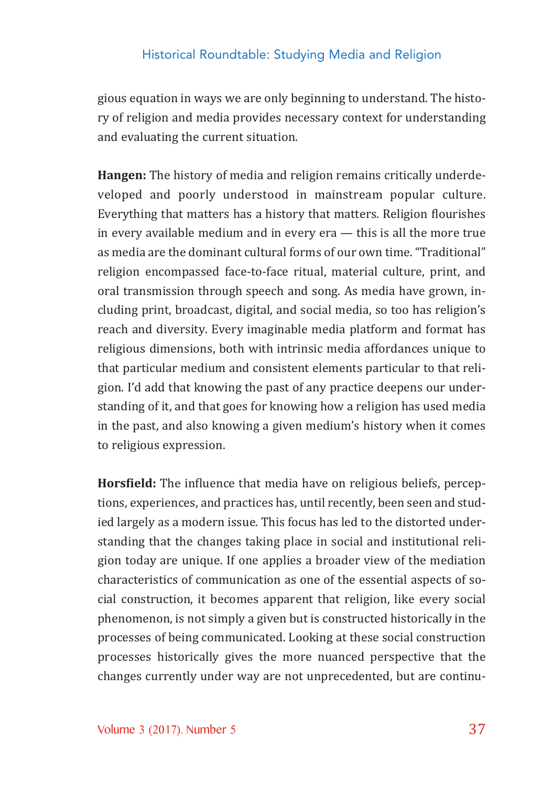gious equation in ways we are only beginning to understand. The histo‐ ry of religion and media provides necessary context for understanding and evaluating the current situation.

**Hangen:** The history of media and religion remains critically underde‐ veloped and poorly understood in mainstream popular culture. Everything that matters has a history that matters. Religion flourishes in every available medium and in every era — this is all the more true as media are the dominant cultural forms of our own time. "Traditional" religion encompassed face‐to‐face ritual, material culture, print, and oral transmission through speech and song. As media have grown, in‐ cluding print, broadcast, digital, and social media, so too has religion's reach and diversity. Every imaginable media platform and format has religious dimensions, both with intrinsic media affordances unique to that particular medium and consistent elements particular to that reli‐ gion. I'd add that knowing the past of any practice deepens our under‐ standing of it, and that goes for knowing how a religion has used media in the past, and also knowing a given medium's history when it comes to religious expression.

**Horsfield:** The influence that media have on religious beliefs, perceptions, experiences, and practices has, until recently, been seen and stud‐ ied largely as a modern issue. This focus has led to the distorted under‐ standing that the changes taking place in social and institutional reli‐ gion today are unique. If one applies a broader view of the mediation characteristics of communication as one of the essential aspects of social construction, it becomes apparent that religion, like every social phenomenon, is not simply a given but is constructed historically in the processes of being communicated. Looking at these social construction processes historically gives the more nuanced perspective that the changes currently under way are not unprecedented, but are continu‐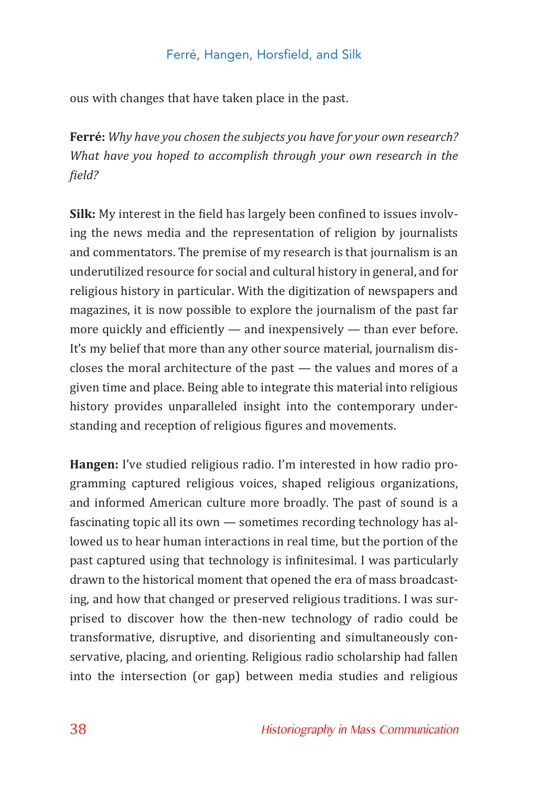ous with changes that have taken place in the past.

**Ferré:** *Why have you chosen the subjects you have for your own research? What have you hoped to accomplish through your own research in the !ield?*

**Silk:** My interest in the field has largely been confined to issues involving the news media and the representation of religion by journalists and commentators. The premise of my research is that journalism is an underutilized resource for social and cultural history in general, and for religious history in particular. With the digitization of newspapers and magazines, it is now possible to explore the journalism of the past far more quickly and efficiently  $-$  and inexpensively  $-$  than ever before. It's my belief that more than any other source material, journalism dis‐ closes the moral architecture of the past — the values and mores of a given time and place. Being able to integrate this material into religious history provides unparalleled insight into the contemporary under‐ standing and reception of religious figures and movements.

**Hangen:** I've studied religious radio. I'm interested in how radio pro‐ gramming captured religious voices, shaped religious organizations, and informed American culture more broadly. The past of sound is a fascinating topic all its own — sometimes recording technology has al‐ lowed us to hear human interactions in real time, but the portion of the past captured using that technology is infinitesimal. I was particularly drawn to the historical moment that opened the era of mass broadcast‐ ing, and how that changed or preserved religious traditions. I was surprised to discover how the then‐new technology of radio could be transformative, disruptive, and disorienting and simultaneously con‐ servative, placing, and orienting. Religious radio scholarship had fallen into the intersection (or gap) between media studies and religious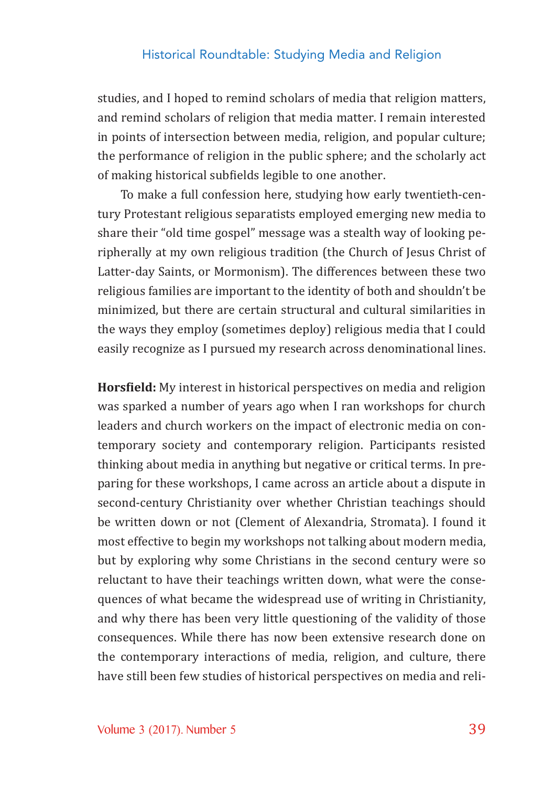studies, and I hoped to remind scholars of media that religion matters, and remind scholars of religion that media matter. I remain interested in points of intersection between media, religion, and popular culture; the performance of religion in the public sphere; and the scholarly act of making historical subfields legible to one another.

To make a full confession here, studying how early twentieth‐cen‐ tury Protestant religious separatists employed emerging new media to share their "old time gospel" message was a stealth way of looking pe‐ ripherally at my own religious tradition (the Church of Jesus Christ of Latter-day Saints, or Mormonism). The differences between these two religious families are important to the identity of both and shouldn't be minimized, but there are certain structural and cultural similarities in the ways they employ (sometimes deploy) religious media that I could easily recognize as I pursued my research across denominational lines.

**Horsfield:** My interest in historical perspectives on media and religion was sparked a number of years ago when I ran workshops for church leaders and church workers on the impact of electronic media on contemporary society and contemporary religion. Participants resisted thinking about media in anything but negative or critical terms. In pre‐ paring for these workshops, I came across an article about a dispute in second-century Christianity over whether Christian teachings should be written down or not (Clement of Alexandria, Stromata). I found it most effective to begin my workshops not talking about modern media, but by exploring why some Christians in the second century were so reluctant to have their teachings written down, what were the conse‐ quences of what became the widespread use of writing in Christianity, and why there has been very little questioning of the validity of those consequences. While there has now been extensive research done on the contemporary interactions of media, religion, and culture, there have still been few studies of historical perspectives on media and reli‐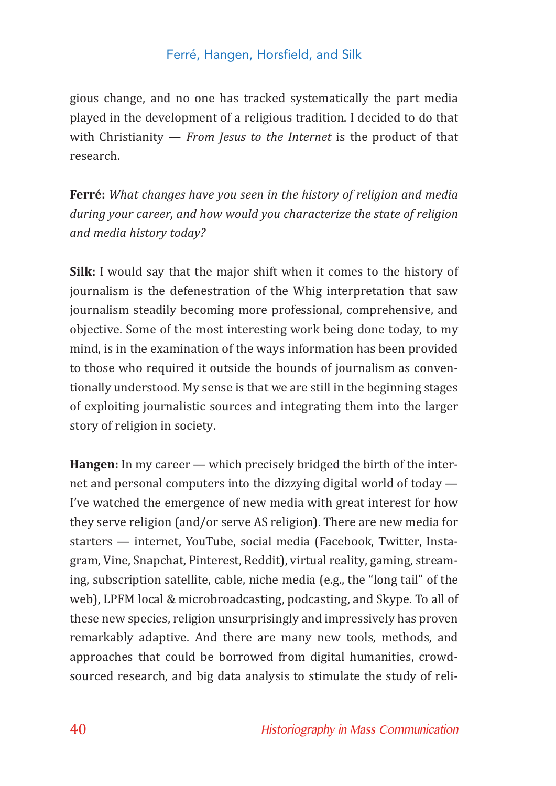gious change, and no one has tracked systematically the part media played in the development of a religious tradition. I decided to do that with Christianity — *From Jesus to the Internet* is the product of that research.

**Ferré:** *What changes have you seen in the history of religion and media during your career, and how would you characterize the state of religion and media history today?*

**Silk:** I would say that the major shift when it comes to the history of journalism is the defenestration of the Whig interpretation that saw journalism steadily becoming more professional, comprehensive, and objective. Some of the most interesting work being done today, to my mind, is in the examination of the ways information has been provided to those who required it outside the bounds of journalism as conven‐ tionally understood. My sense is that we are still in the beginning stages of exploiting journalistic sources and integrating them into the larger story of religion in society.

**Hangen:** In my career — which precisely bridged the birth of the inter‐ net and personal computers into the dizzying digital world of today — I've watched the emergence of new media with great interest for how they serve religion (and/or serve AS religion). There are new media for starters — internet, YouTube, social media (Facebook, Twitter, Insta‐ gram, Vine, Snapchat, Pinterest, Reddit), virtual reality, gaming, stream‐ ing, subscription satellite, cable, niche media (e.g., the "long tail" of the web), LPFM local & microbroadcasting, podcasting, and Skype. To all of these new species, religion unsurprisingly and impressively has proven remarkably adaptive. And there are many new tools, methods, and approaches that could be borrowed from digital humanities, crowd‐ sourced research, and big data analysis to stimulate the study of reli‐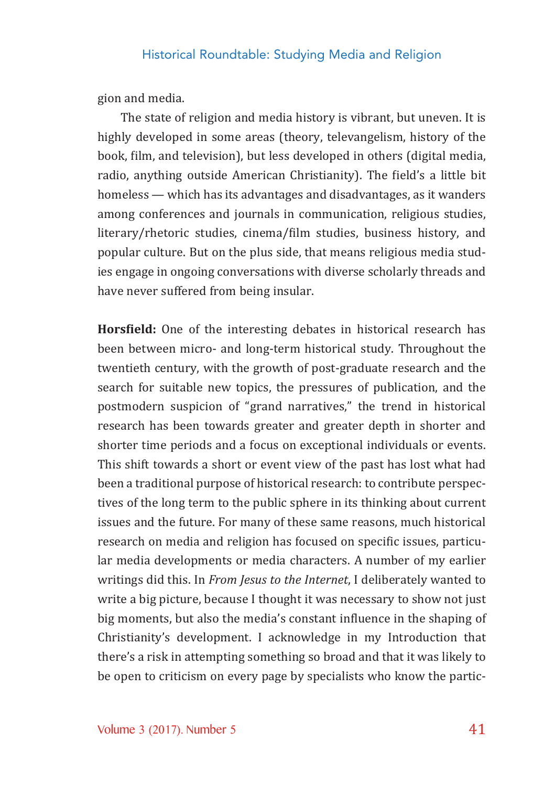gion and media.

The state of religion and media history is vibrant, but uneven. It is highly developed in some areas (theory, televangelism, history of the book, "ilm, and television), but less developed in others (digital media, radio, anything outside American Christianity). The field's a little bit homeless — which has its advantages and disadvantages, as it wanders among conferences and journals in communication, religious studies, literary/rhetoric studies, cinema/film studies, business history, and popular culture. But on the plus side, that means religious media stud‐ ies engage in ongoing conversations with diverse scholarly threads and have never suffered from being insular.

**Horsfield:** One of the interesting debates in historical research has been between micro- and long-term historical study. Throughout the twentieth century, with the growth of post‐graduate research and the search for suitable new topics, the pressures of publication, and the postmodern suspicion of "grand narratives," the trend in historical research has been towards greater and greater depth in shorter and shorter time periods and a focus on exceptional individuals or events. This shift towards a short or event view of the past has lost what had been a traditional purpose of historical research: to contribute perspec‐ tives of the long term to the public sphere in its thinking about current issues and the future. For many of these same reasons, much historical research on media and religion has focused on specific issues, particular media developments or media characters. A number of my earlier writings did this. In *From Jesus to the Internet*, I deliberately wanted to write a big picture, because I thought it was necessary to show not just big moments, but also the media's constant influence in the shaping of Christianity's development. I acknowledge in my Introduction that there's a risk in attempting something so broad and that it was likely to be open to criticism on every page by specialists who know the partic‐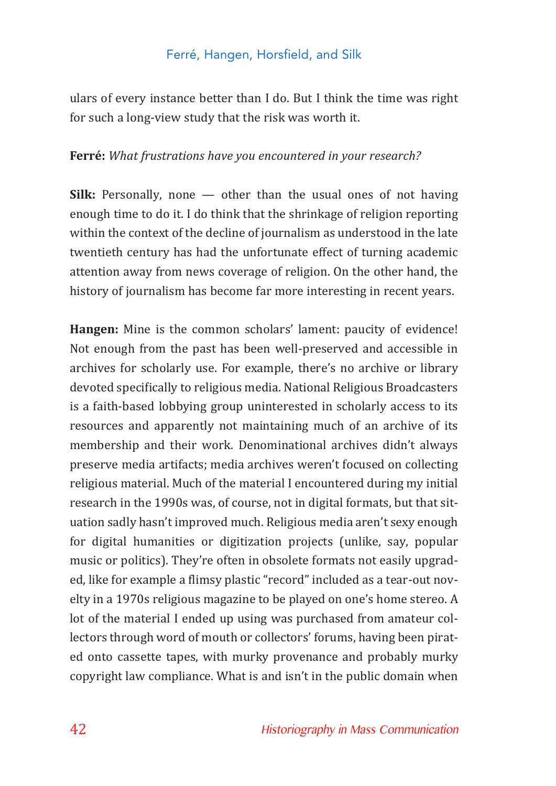ulars of every instance better than I do. But I think the time was right for such a long‐view study that the risk was worth it.

#### **Ferré:** *What frustrations have you encountered in your research?*

**Silk:** Personally, none — other than the usual ones of not having enough time to do it. I do think that the shrinkage of religion reporting within the context of the decline of journalism as understood in the late twentieth century has had the unfortunate effect of turning academic attention away from news coverage of religion. On the other hand, the history of journalism has become far more interesting in recent years.

**Hangen:** Mine is the common scholars' lament: paucity of evidence! Not enough from the past has been well‐preserved and accessible in archives for scholarly use. For example, there's no archive or library devoted specifically to religious media. National Religious Broadcasters is a faith‐based lobbying group uninterested in scholarly access to its resources and apparently not maintaining much of an archive of its membership and their work. Denominational archives didn't always preserve media artifacts; media archives weren't focused on collecting religious material. Much of the material I encountered during my initial research in the 1990s was, of course, not in digital formats, but that sit‐ uation sadly hasn't improved much. Religious media aren't sexy enough for digital humanities or digitization projects (unlike, say, popular music or politics). They're often in obsolete formats not easily upgrad‐ ed, like for example a flimsy plastic "record" included as a tear-out novelty in a 1970s religious magazine to be played on one's home stereo. A lot of the material I ended up using was purchased from amateur col‐ lectors through word of mouth or collectors' forums, having been pirat‐ ed onto cassette tapes, with murky provenance and probably murky copyright law compliance. What is and isn't in the public domain when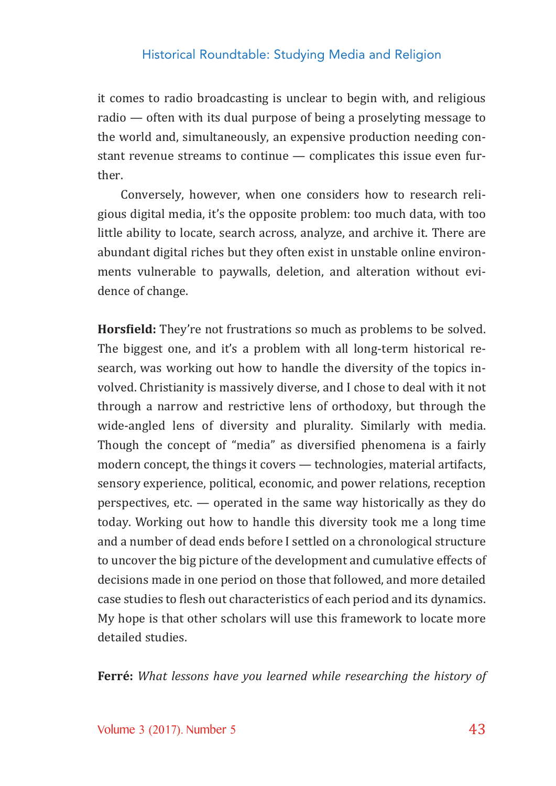it comes to radio broadcasting is unclear to begin with, and religious radio — often with its dual purpose of being a proselyting message to the world and, simultaneously, an expensive production needing con‐ stant revenue streams to continue — complicates this issue even fur‐ ther.

Conversely, however, when one considers how to research reli‐ gious digital media, it's the opposite problem: too much data, with too little ability to locate, search across, analyze, and archive it. There are abundant digital riches but they often exist in unstable online environ‐ ments vulnerable to paywalls, deletion, and alteration without evidence of change.

**Horsfield:** They're not frustrations so much as problems to be solved. The biggest one, and it's a problem with all long-term historical research, was working out how to handle the diversity of the topics in‐ volved. Christianity is massively diverse, and I chose to deal with it not through a narrow and restrictive lens of orthodoxy, but through the wide-angled lens of diversity and plurality. Similarly with media. Though the concept of "media" as diversified phenomena is a fairly modern concept, the things it covers — technologies, material artifacts, sensory experience, political, economic, and power relations, reception perspectives, etc. — operated in the same way historically as they do today. Working out how to handle this diversity took me a long time and a number of dead ends before I settled on a chronological structure to uncover the big picture of the development and cumulative effects of decisions made in one period on those that followed, and more detailed case studies to flesh out characteristics of each period and its dynamics. My hope is that other scholars will use this framework to locate more detailed studies.

**Ferré:** *What lessons have you learned while researching the history of*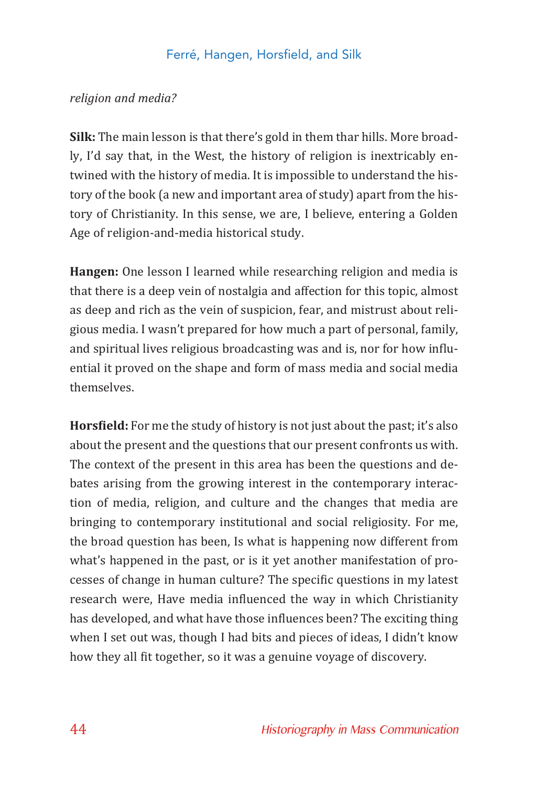#### *religion and media?*

**Silk:** The main lesson is that there's gold in them thar hills. More broad‐ ly, I'd say that, in the West, the history of religion is inextricably en‐ twined with the history of media. It is impossible to understand the his‐ tory of the book (a new and important area of study) apart from the his‐ tory of Christianity. In this sense, we are, I believe, entering a Golden Age of religion‐and‐media historical study.

**Hangen:** One lesson I learned while researching religion and media is that there is a deep vein of nostalgia and affection for this topic, almost as deep and rich as the vein of suspicion, fear, and mistrust about reli‐ gious media. I wasn't prepared for how much a part of personal, family, and spiritual lives religious broadcasting was and is, nor for how influential it proved on the shape and form of mass media and social media themselves.

**Hors!ield:** For me the study of history is not just about the past; it's also about the present and the questions that our present confronts us with. The context of the present in this area has been the questions and de‐ bates arising from the growing interest in the contemporary interac‐ tion of media, religion, and culture and the changes that media are bringing to contemporary institutional and social religiosity. For me, the broad question has been, Is what is happening now different from what's happened in the past, or is it yet another manifestation of processes of change in human culture? The specific questions in my latest research were, Have media influenced the way in which Christianity has developed, and what have those influences been? The exciting thing when I set out was, though I had bits and pieces of ideas, I didn't know how they all fit together, so it was a genuine voyage of discovery.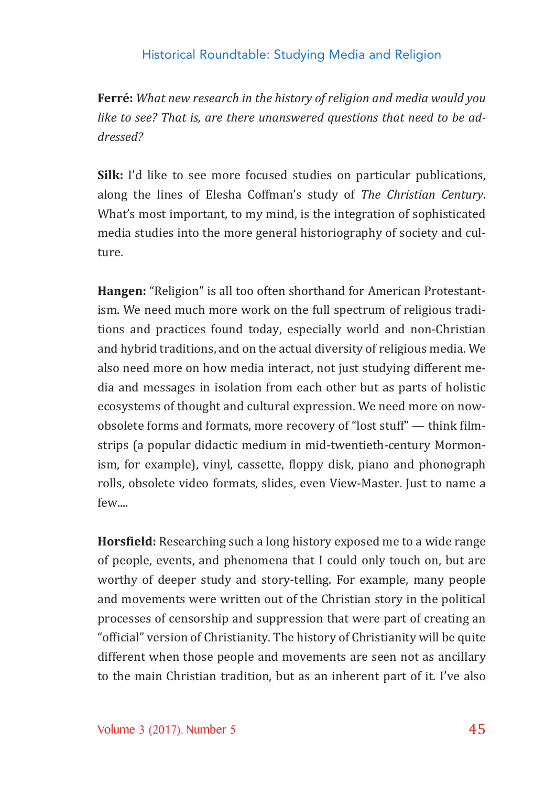**Ferré:** *What new research in the history of religion and media would you like to see? That is, are there unanswered questions that need to be addressed?*

**Silk:** I'd like to see more focused studies on particular publications, along the lines of Elesha Coffman's study of *The Christian Century*. What's most important, to my mind, is the integration of sophisticated media studies into the more general historiography of society and cul‐ ture.

**Hangen:** "Religion" is all too often shorthand for American Protestant‐ ism. We need much more work on the full spectrum of religious tradi‐ tions and practices found today, especially world and non‐Christian and hybrid traditions, and on the actual diversity of religious media. We also need more on how media interact, not just studying different me‐ dia and messages in isolation from each other but as parts of holistic ecosystems of thought and cultural expression. We need more on now‐ obsolete forms and formats, more recovery of "lost stuff" — think filmstrips (a popular didactic medium in mid‐twentieth‐century Mormon‐ ism, for example), vinyl, cassette, floppy disk, piano and phonograph rolls, obsolete video formats, slides, even View‐Master. Just to name a few....

**Horsfield:** Researching such a long history exposed me to a wide range of people, events, and phenomena that I could only touch on, but are worthy of deeper study and story-telling. For example, many people and movements were written out of the Christian story in the political processes of censorship and suppression that were part of creating an "official" version of Christianity. The history of Christianity will be quite different when those people and movements are seen not as ancillary to the main Christian tradition, but as an inherent part of it. I've also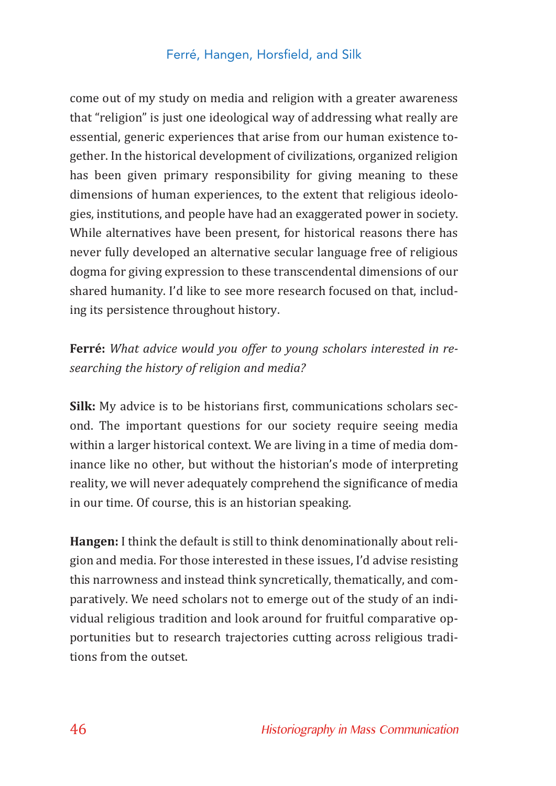come out of my study on media and religion with a greater awareness that "religion" is just one ideological way of addressing what really are essential, generic experiences that arise from our human existence to‐ gether. In the historical development of civilizations, organized religion has been given primary responsibility for giving meaning to these dimensions of human experiences, to the extent that religious ideolo‐ gies, institutions, and people have had an exaggerated power in society. While alternatives have been present, for historical reasons there has never fully developed an alternative secular language free of religious dogma for giving expression to these transcendental dimensions of our shared humanity. I'd like to see more research focused on that, includ‐ ing its persistence throughout history.

## **Ferré:** *What advice would you offer to young scholars interested in researching the history of religion and media?*

**Silk:** My advice is to be historians first, communications scholars second. The important questions for our society require seeing media within a larger historical context. We are living in a time of media dominance like no other, but without the historian's mode of interpreting reality, we will never adequately comprehend the significance of media in our time. Of course, this is an historian speaking.

**Hangen:** I think the default is still to think denominationally about reli‐ gion and media. For those interested in these issues, I'd advise resisting this narrowness and instead think syncretically, thematically, and com‐ paratively. We need scholars not to emerge out of the study of an indi‐ vidual religious tradition and look around for fruitful comparative op‐ portunities but to research trajectories cutting across religious tradi‐ tions from the outset.